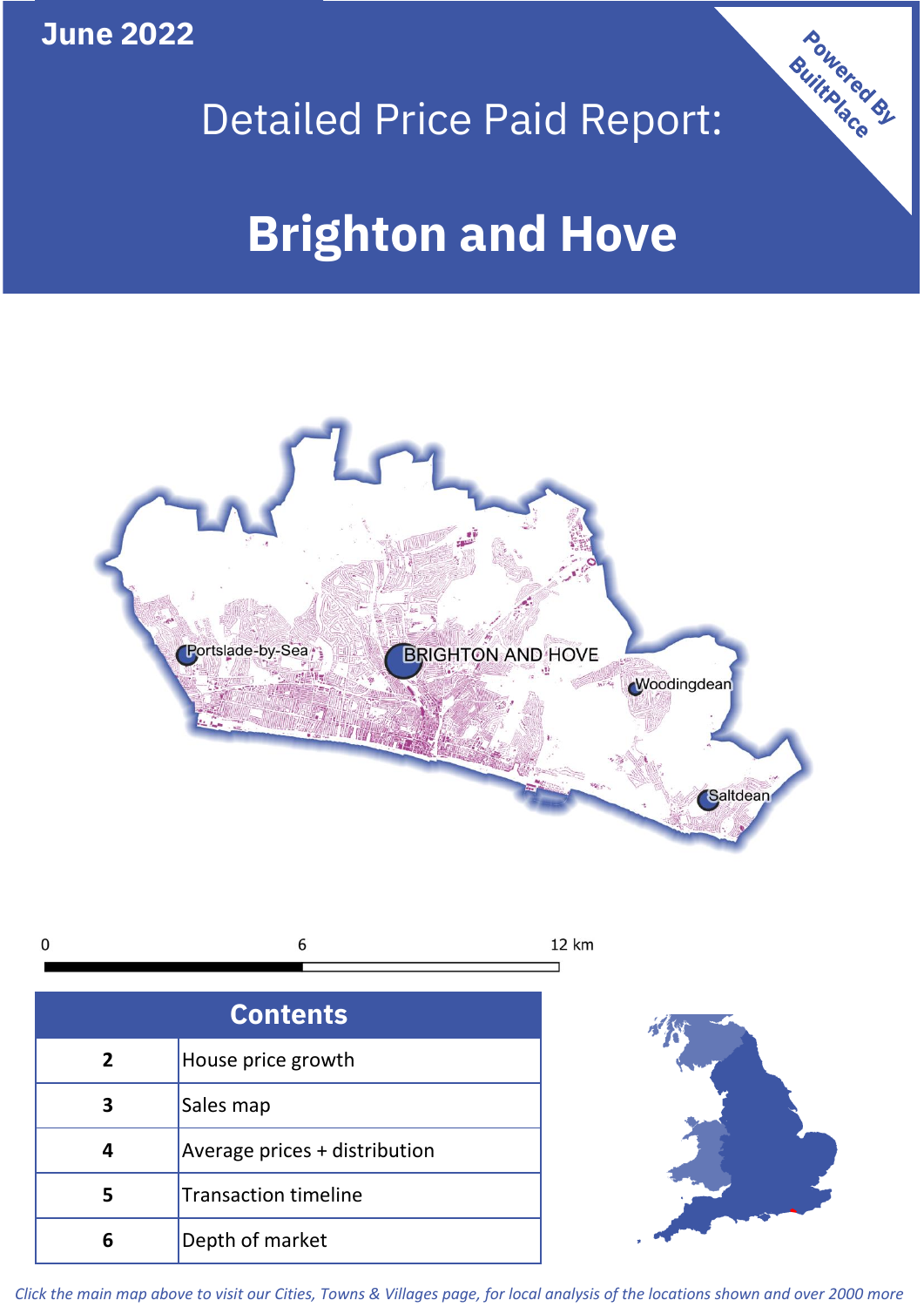**June 2022**



## Detailed Price Paid Report:

# **Brighton and Hove**





| <b>Contents</b> |                               |  |  |
|-----------------|-------------------------------|--|--|
| $\overline{2}$  | House price growth            |  |  |
| 3               | Sales map                     |  |  |
|                 | Average prices + distribution |  |  |
| 5               | <b>Transaction timeline</b>   |  |  |
| 6               | Depth of market               |  |  |



*Click the main map above to visit our Cities, Towns & Villages page, for local analysis of the locations shown and over 2000 more*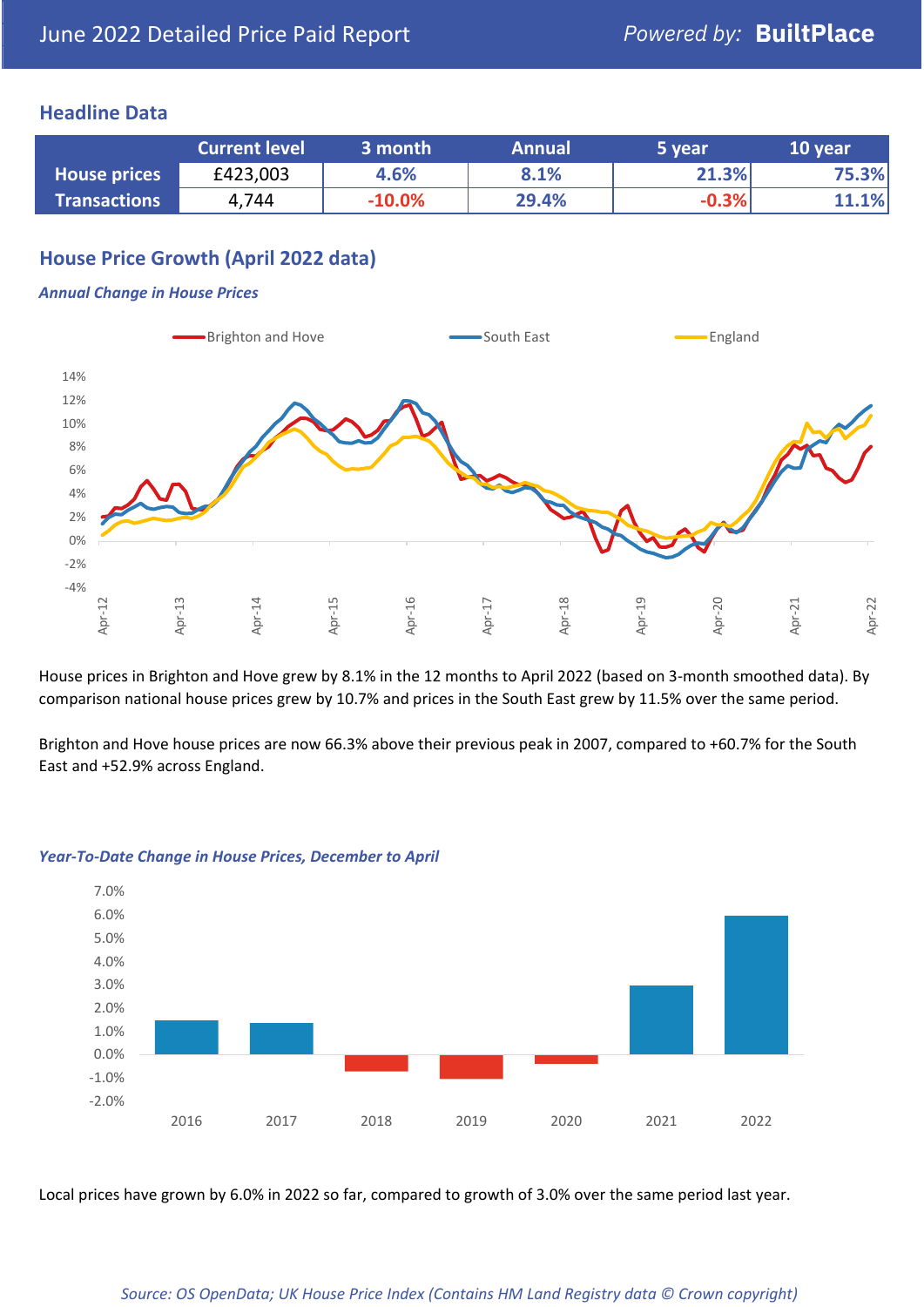#### **Headline Data**

|                     | <b>Current level</b> | 3 month  | <b>Annual</b> | 5 year  | 10 year |
|---------------------|----------------------|----------|---------------|---------|---------|
| <b>House prices</b> | £423,003             | 4.6%     | 8.1%          | 21.3%   | 75.3%   |
| <b>Transactions</b> | 4,744                | $-10.0%$ | 29.4%         | $-0.3%$ | 11.1%   |

## **House Price Growth (April 2022 data)**

#### *Annual Change in House Prices*



House prices in Brighton and Hove grew by 8.1% in the 12 months to April 2022 (based on 3-month smoothed data). By comparison national house prices grew by 10.7% and prices in the South East grew by 11.5% over the same period.

Brighton and Hove house prices are now 66.3% above their previous peak in 2007, compared to +60.7% for the South East and +52.9% across England.



#### *Year-To-Date Change in House Prices, December to April*

Local prices have grown by 6.0% in 2022 so far, compared to growth of 3.0% over the same period last year.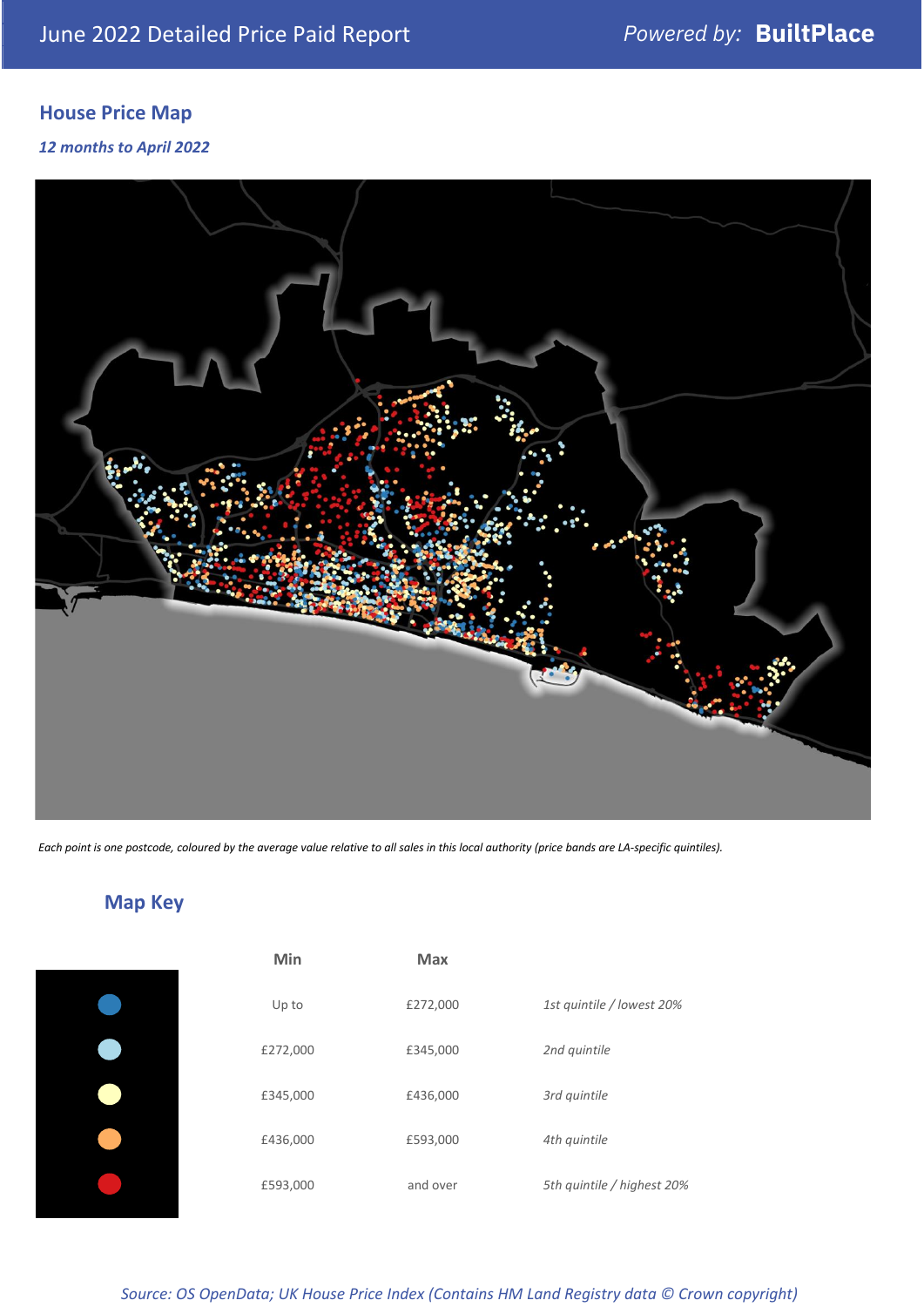## **House Price Map**

*12 months to April 2022*



*Each point is one postcode, coloured by the average value relative to all sales in this local authority (price bands are LA-specific quintiles).*



**Map Key**

| Min      | <b>Max</b> |                            |
|----------|------------|----------------------------|
| Up to    | £272,000   | 1st quintile / lowest 20%  |
| £272,000 | £345,000   | 2nd quintile               |
| £345,000 | £436,000   | 3rd quintile               |
| £436,000 | £593,000   | 4th quintile               |
| £593,000 | and over   | 5th quintile / highest 20% |

#### *Source: OS OpenData; UK House Price Index (Contains HM Land Registry data © Crown copyright)*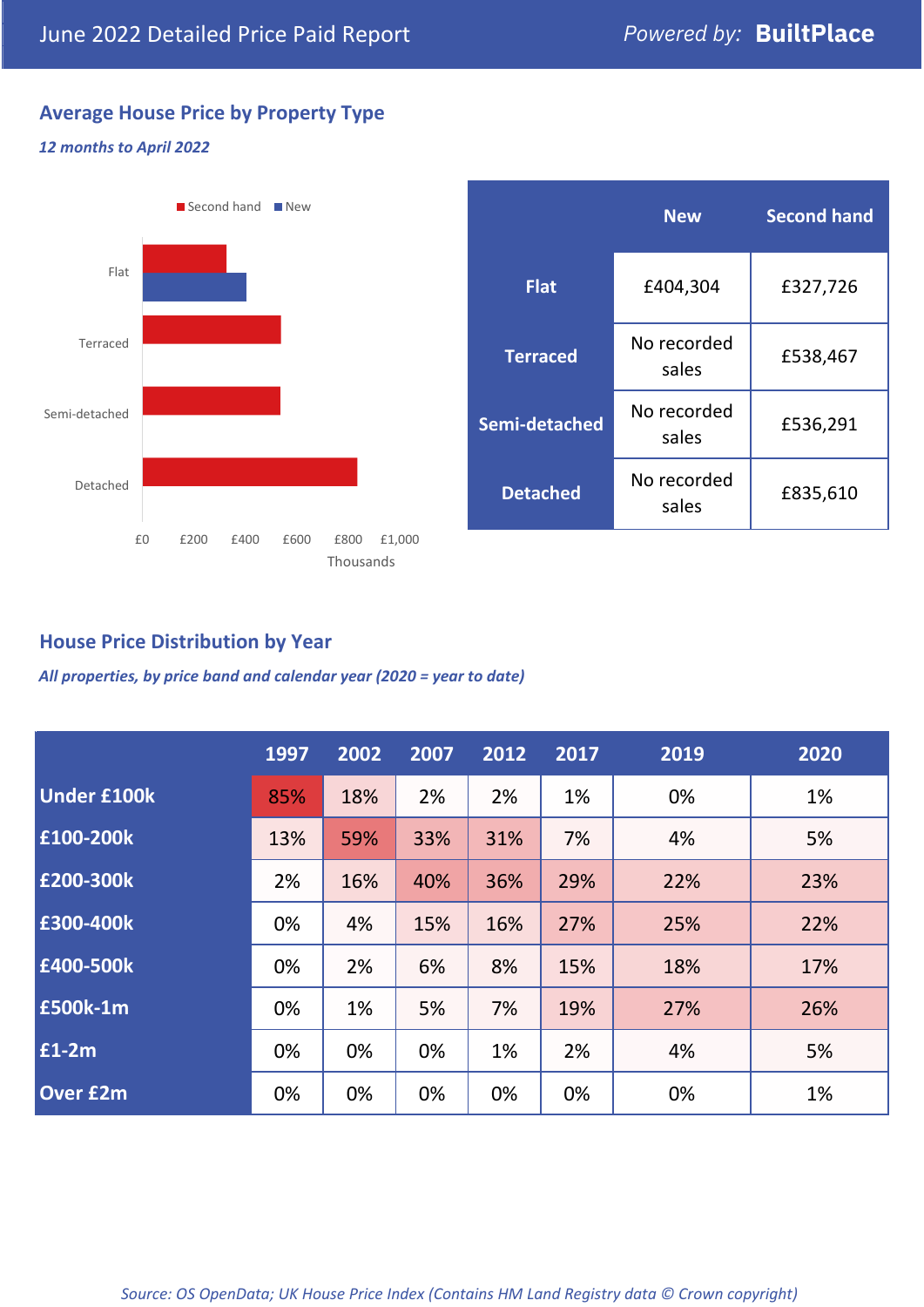## **Average House Price by Property Type**

#### *12 months to April 2022*



|                 | <b>New</b>           | <b>Second hand</b> |  |  |
|-----------------|----------------------|--------------------|--|--|
| <b>Flat</b>     | £404,304             | £327,726           |  |  |
| <b>Terraced</b> | No recorded<br>sales | £538,467           |  |  |
| Semi-detached   | No recorded<br>sales | £536,291           |  |  |
| <b>Detached</b> | No recorded<br>sales | £835,610           |  |  |

## **House Price Distribution by Year**

*All properties, by price band and calendar year (2020 = year to date)*

|                    | 1997 | 2002 | 2007 | 2012 | 2017 | 2019 | 2020 |
|--------------------|------|------|------|------|------|------|------|
| <b>Under £100k</b> | 85%  | 18%  | 2%   | 2%   | 1%   | 0%   | 1%   |
| £100-200k          | 13%  | 59%  | 33%  | 31%  | 7%   | 4%   | 5%   |
| E200-300k          | 2%   | 16%  | 40%  | 36%  | 29%  | 22%  | 23%  |
| £300-400k          | 0%   | 4%   | 15%  | 16%  | 27%  | 25%  | 22%  |
| £400-500k          | 0%   | 2%   | 6%   | 8%   | 15%  | 18%  | 17%  |
| £500k-1m           | 0%   | 1%   | 5%   | 7%   | 19%  | 27%  | 26%  |
| £1-2m              | 0%   | 0%   | 0%   | 1%   | 2%   | 4%   | 5%   |
| <b>Over £2m</b>    | 0%   | 0%   | 0%   | 0%   | 0%   | 0%   | 1%   |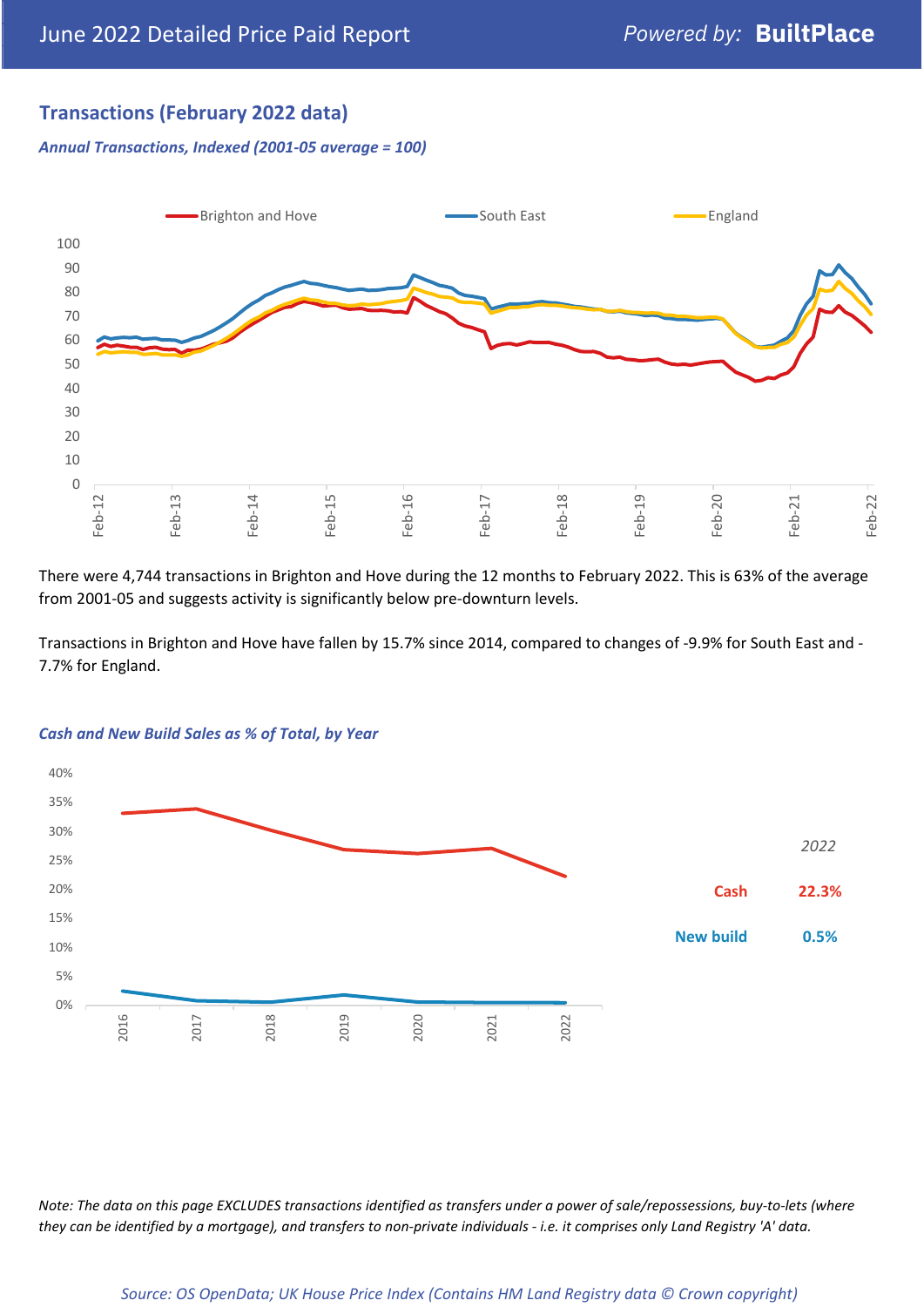## **Transactions (February 2022 data)**

*Annual Transactions, Indexed (2001-05 average = 100)*



There were 4,744 transactions in Brighton and Hove during the 12 months to February 2022. This is 63% of the average from 2001-05 and suggests activity is significantly below pre-downturn levels.

Transactions in Brighton and Hove have fallen by 15.7% since 2014, compared to changes of -9.9% for South East and - 7.7% for England.



#### *Cash and New Build Sales as % of Total, by Year*

*Note: The data on this page EXCLUDES transactions identified as transfers under a power of sale/repossessions, buy-to-lets (where they can be identified by a mortgage), and transfers to non-private individuals - i.e. it comprises only Land Registry 'A' data.*